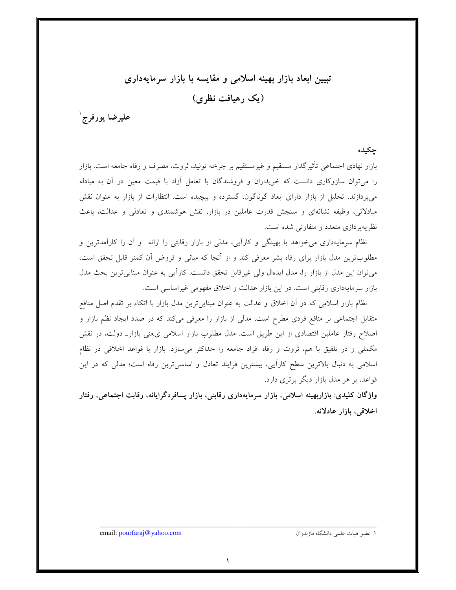تبیین ابعاد بازار بهینه اسلامی و مقایسه با بازار سرمایهداری (یک رهیافت نظری)

عليرضا پورفرج ٰ

## جكيده

بازار نهادی اجتماعی تأثیرگذار مستقیم و غیرمستقیم بر چرخه تولید، ثروت، مصرف و رفاه جامعه است. بازار را میتوان سازوکاری دانست که خریداران و فروشندگان با تعامل آزاد با قیمت معین در آن به مبادله می پردازند. تحلیل از بازار دارای ابعاد گوناگون، گسترده و پیچیده است. انتظارات از بازار به عنوان نقش مبادلاتی، وظیفه نشانهای و سنجش قدرت عاملین در بازار، نقش هوشمندی و تعادلی و عدالت، باعث نظریه پر دازی متعدد و متفاوتی شده است.

نظام سرمایهداری می خواهد با بهینگی و کارآیی، مدلی از بازار رقابتی را ارائه ً و آن را کارآمدترین و مطلوبترین مدل بازار برای رفاه بشر معرفی کند و از آنجا که مبانی و فروض آن کمتر قابل تحقق است، میتوان این مدل از بازار را، مدل ایدهال ولی غیرقابل تحقق دانست. کاراًیی به عنوان مبنایی ترین بحث مدل بازار سرمایهداری رقابتی است. در این بازار عدالت و اخلاق مفهومی غیراساسی است.

نظام بازار اسلامی که در آن اخلاق و عدالت به عنوان مبنایی ترین مدل بازار با اتکاء بر تقدم اصل منافع متقابل اجتماعی بر منافع فردی مطرح است، مدلی از بازار را معرفی میکند که در صدد ایجاد نظم بازار و اصلاح رفتار عاملین اقتصادی از این طریق است. مدل مطلوب بازار اسلامی یءمنی بازارـ دولت، در نقش مکملی و در تلفیق با هم، ثروت و رفاه افراد جامعه را حداکثر می سازد. بازار با قواعد اخلاقی در نظام اسلامی به دنبال بالاترین سطح کارأیی، بیشترین فرایند تعادل و اساسیترین رفاه است؛ مدلی که در این قواعد، بر هر مدل بازار دیگر برتری دارد.

واژگان کلیدی: بازاربهینه اسلامی، بازار سرمایهداری رقابتی، بازار پسافردگرایانه، رقابت اجتماعی، رفتار اخلاقى، بازار عادلانه.

١. عضو هيات علمي دانشگاه مازندران

email: pourfaraj@yahoo.com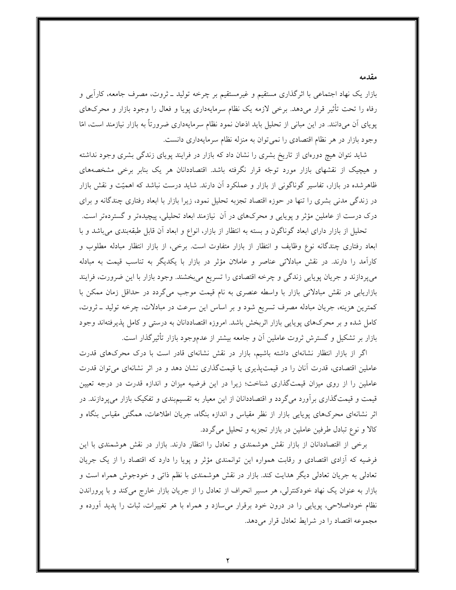بازار یک نهاد اجتماعی با اثرگذاری مستقیم و غیرمستقیم بر چرخه تولید ــ ثروت، مصرف جامعه، کاراً یی و رفاه را تحت تأثیر قرار می۵هد. برخی لازمه یک نظام سرمایهداری پویا و فعال را وجود بازار و محرکهای پویای آن میدانند. در این مبانی از تحلیل باید اذعان نمود نظام سرمایهداری ضرورتاً به بازار نیازمند است، امّا وجود بازار در هر نظام اقتصادی را نمی توان به منزله نظام سرمایهداری دانست.

شاید نتوان هیچ دورهای از تاریخ بشری را نشان داد که بازار در فرایند پویای زندگی بشری وجود نداشته و هیچیک از نقشهای بازار مورد توجّه قرار نگرفته باشد. اقتصاددانان هر یک بنابر برخی مشخصههای ظاهرشده در بازار، تفاسیر گوناگونی از بازار و عملکرد آن دارند. شاید درست نباشد که اهمیّت و نقش بازار در زندگی مدنی بشری را تنها در حوزه اقتصاد تجزبه تحلیل نمود، زیرا بازار با ابعاد رفتاری چندگانه و برای درک درست از عاملین مؤثر و پویایی و محرکهای در آن نیازمند ابعاد تحلیلی، پیچیدهتر و گستردهتر است.

تحلیل از بازار دارای ابعاد گوناگون و بسته به انتظار از بازار، انواع و ابعاد آن قابل طبقهبندی میباشد و با ابعاد رفتاری چندگانه نوع وظایف و انتظار از بازار متفاوت است. برخی، از بازار انتظار مبادله مطلوب و کارآمد را دارند. در نقش مبادلاتی عناصر و عاملان مؤثر در بازار با یکدیگر به تناسب قیمت به مبادله میپردازند و جریان پویایی زندگی و چرخه اقتصادی را تسریع میبخشند. وجود بازار با این ضرورت، فرایند بازاریابی در نقش مبادلاتی بازار با واسطه عنصری به نام قیمت موجب میگردد در حداقل زمان ممکن با کمترین هزینه، جریان مبادله مصرف تسریع شود و بر اساس این سرعت در مبادلات، چرخه تولید ـ ثروت، کامل شده و بر محرکهای پویایی بازار اثربخش باشد. امروزه اقتصاددانان به درستی و کامل پذیرفتهاند وجود بازار بر تشکیل و گسترش ثروت عاملین آن و جامعه بیشتر از عدموجود بازار تأثیرگذار است.

اگر از بازار انتظار نشانهای داشته باشیم، بازار در نقش نشانهای قادر است با درک محرکهای قدرت عاملین اقتصادی، قدرت آنان را در قیمتپذیری یا قیمتگذاری نشان دهد و در اثر نشانهای میتوان قدرت عاملین را از روی میزان قیمتگذاری شناخت؛ زیرا در این فرضیه میزان و اندازه قدرت در درجه تعیین قیمت و قیمتگذاری برآورد میگردد و اقتصاددانان از این معیار به تقسیم.بندی و تفکیک بازار میپردازند. در اثر نشانهای محرکهای پویایی بازار از نظر مقیاس و اندازه بنگاه، جریان اطلاعات، همگنی مقیاس بنگاه و کالا و نوع تبادل طرفین عاملین در بازار تجزیه و تحلیل می گردد.

برخی از اقتصاددانان از بازار نقش هوشمندی و تعادل را انتظار دارند. بازار در نقش هوشمندی با این فرضیه که اَزادی اقتصادی و رقابت همواره این توانمندی مؤثر و پویا را دارد که اقتصاد را از یک جریان تعادلی به جریان تعادلی دیگر هدایت کند. بازار در نقش هوشمندی با نظم ذاتی و خودجوش همراه است و بازار به عنوان یک نهاد خودکنترلی، هر مسیر انحراف از تعادل را از جریان بازار خارج میکند و با پروراندن نظام خوداصلاحی، پویایی را در درون خود برقرار میسازد و همراه با هر تغییرات، ثبات را پدید اَورده و مجموعه اقتصاد را در شرايط تعادل قرار مى دهد.

مقدمه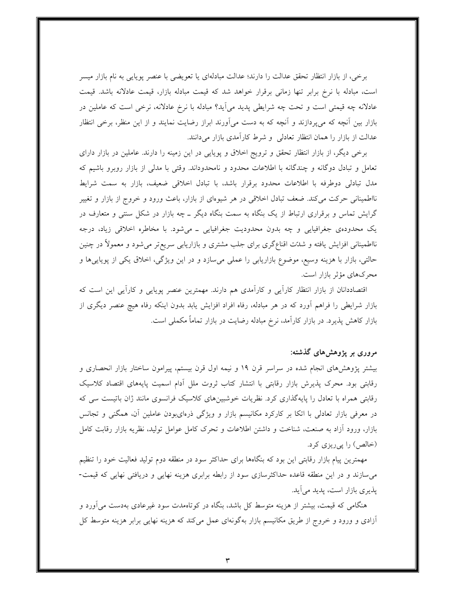برخی، از بازار انتظار تحقق عدالت را دارند؛ عدالت مبادلهای یا تعویضی با عنصر پویایی به نام بازار میسر است، مبادله با نرخ برابر تنها زمانی برقرار خواهد شد که قیمت مبادله بازار، قیمت عادلانه باشد. قیمت عادلانه چه قیمتی است و تحت چه شرایطی پدید می]ید؟ مبادله با نرخ عادلانه، نرخی است که عاملین در بازار بین أنچه که میپردازند و أنچه که به دست میأورند ابراز رضایت نمایند و از این منظر، برخی انتظار عدالت از بازار را همان انتظار تعادلی و شرط کارآمدی بازار میدانند.

برخی دیگر، از بازار انتظار تحقق و ترویج اخلاق و پویایی در این زمینه را دارند. عاملین در بازار دارای تعامل و تبادل دوگانه و چندگانه با اطلاعات محدود و نامحدوداند. وقتی با مدلی از بازار روبرو باشیم که مدل تبادلی دوطرفه با اطلاعات محدود برقرار باشد، با تبادل اخلاقی ضعیف، بازار به سمت شرایط نااطمینانی حرکت میکند. ضعف تبادل اخلاقی در هر شیوهای از بازار، باعث ورود و خروج از بازار و تغییر گرایش تماس و برقراری ارتباط از یک بنگاه به سمت بنگاه دیگر ــ چه بازار در شکل سنتی و متعارف در یک محدودهی جغرافیایی و چه بدون محدودیت جغرافیایی ــ میشود. با مخاطره اخلاقی زیاد، درجه نااطمینانی افزایش یافته و شدّت اقناعگری برای جلب مشتری و بازاریابی سریع تر می شود و معمولاً در چنین حالتی، بازار با هزینه وسیع، موضوع بازاریابی را عملی میسازد و در این ویژگی، اخلاق یکی از پویاییها و محرکهای مؤثر بازار است.

اقتصاددانان از بازار انتظار کاراًیبی و کاراًمدی هم دارند. مهمترین عنصر پویایبی و کاراًیبی این است که بازار شرایطی را فراهم آورد که در هر مبادله، رفاه افراد افزایش یابد بدون اینکه رفاه هیچ عنصر دیگری از بازار کاهش پذیرد. در بازار کارآمد، نرخ مبادله رضایت در بازار تماماً مکملی است.

## مروری بر پژوهشهای گذشته:

بیشتر پژوهشهای انجام شده در سراسر قرن ۱۹ و نیمه اول قرن بیستم، پیرامون ساختار بازار انحصاری و رقابتی بود. محرک پذیرش بازار رقابتی با انتشار کتاب ثروت ملل آدام اسمیت پایههای اقتصاد کلاسیک رقابتی همراه با تعادل را پایهگذاری کرد. نظریات خوشبینهای کلاسیک فرانسوی مانند ژان باتیست سی که در معرفی بازار تعادلی با اتکا بر کارکرد مکانیسم بازار و ویژگی ذرهایبودن عاملین آن، همگنی و تجانس بازار، ورود أزاد به صنعت، شناخت و داشتن اطلاعات و تحرک کامل عوامل تولید، نظریه بازار رقابت کامل (خالص) را پی ریزی کرد.

مهمترین پیام بازار رقابتی این بود که بنگاهها برای حداکثر سود در منطقه دوم تولید فعالیت خود را تنظیم می سازند و در این منطقه قاعده حداکثرسازی سود از رابطه برابری هزینه نهایی و دریافتی نهایی که قیمت-پذیری بازار است، پدید می آید.

هنگامی که قیمت، بیشتر از هزینه متوسط کل باشد، بنگاه در کوتاهمدت سود غیرعادی بهدست میآورد و أزادی و ورود و خروج از طریق مکانیسم بازار بهگونهای عمل میکند که هزینه نهایی برابر هزینه متوسط کل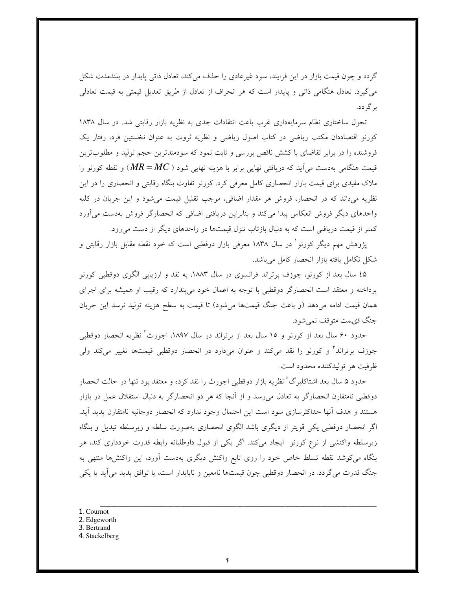گردد و چون قیمت بازار در این فرایند، سود غیرعادی را حذف میکند، تعادل ذاتی پایدار در بلندمدت شکل می گیرد. تعادل هنگامی ذاتی و پایدار است که هر انحراف از تعادل از طریق تعدیل قیمتی به قیمت تعادلی بر گر دد.

تحول ساختاری نظام سرمایهداری غرب باعث انتقادات جدی به نظریه بازار رقابتی شد. در سال ۱۸۳۸ کورنو اقتصاددان مکتب ریاضی در کتاب اصول ریاضی و نظریه ثروت به عنوان نخستین فرد، رفتار یک فروشنده را در برابر تقاضای با کشش ناقص بررسی و ثابت نمود که سودمندترین حجم تولید و مطلوبترین قیمت هنگامی بهدست میآید که دریافتی نهایی برابر با هزینه نهایی شود (  $MR\!=\!MC$ ) و نقطه کورنو را ملاک مفیدی برای قیمت بازار انحصاری کامل معرفی کرد. کورنو تفاوت بنگاه رقابتی و انحصاری را در این نظریه می داند که در انحصار، فروش هر مقدار اضافی، موجب تقلیل قیمت می شود و این جریان در کلیه واحدهای دیگر فروش انعکاس پیدا میکند و بنابراین دریافتی اضافی که انحصارگر فروش بهدست میآورد کمتر از قیمت دریافتی است که به دنبال بازتاب تنزل قیمتها در واحدهای دیگر از دست میرود.

پژوهش مهم دیگر کورنو ٰ در سال ۱۸۳۸ معرفی بازار دوقطبی است که خود نقطه مقابل بازار رقابتی و شکل تکامل یافته بازار انحصار کامل میباشد.

٤۵ سال بعد از کورنو، جوزف برتراند فرانسوی در سال ۱۸۸۳، به نقد و ارزیابی الگوی دوقطبی کورنو پرداخته و معتقد است انحصارگر دوقطبی با توجه به اعمال خود میپندارد که رقیب او همیشه برای اجرای همان قیمت ادامه میدهد (و باعث جنگ قیمتها میشود) تا قیمت به سطح هزینه تولید نرسد این جریان جنگ قي هت متوقف نمي شو د.

حدود ۶۰ سال بعد از کورنو و ۱۵ سال بعد از برتراند در سال ۱۸۹۷، اجورث ٔ نظریه انحصار دوقطبی جوزف برتراند ً و کورنو را نقد میکند و عنوان میدارد در انحصار دوقطبی قیمتها تغییر میکند ولی ظرفيت هر توليدكننده محدود است.

حدود ۵ سال بعد اشتاکلبرگ ٔ نظریه بازار دوقطبی اجورث را نقد کرده و معتقد بود تنها در حالت انحصار دوقطبی نامتقارن انحصارگر به تعادل میرسد و از آنجا که هر دو انحصارگر به دنبال استقلال عمل در بازار هستند و هدف آنها حداکثرسازی سود است این احتمال وجود ندارد که انحصار دوجانبه نامتقارن پدید آید. اگر انحصار دوقطبی یکی قویتر از دیگری باشد الگوی انحصاری بهصورت سلطه و زیرسلطه تبدیل و بنگاه زیرسلطه واکنشی از نوع کورنو ایجاد میکند. اگر یکی از قبول داوطلبانه رابطه قدرت خودداری کند، هر بنگاه می کوشد نقطه تسلط خاص خود را روی تابع واکنش دیگری بهدست آورد، این واکنشها منتهی به جنگ قدرت می گردد. در انحصار دوقطبی چون قیمتها نامعین و ناپایدار است، یا توافق پدید می آید یا یکی

- 1. Cournot
- 2. Edgeworth
- 3. Bertrand
- 4. Stackelberg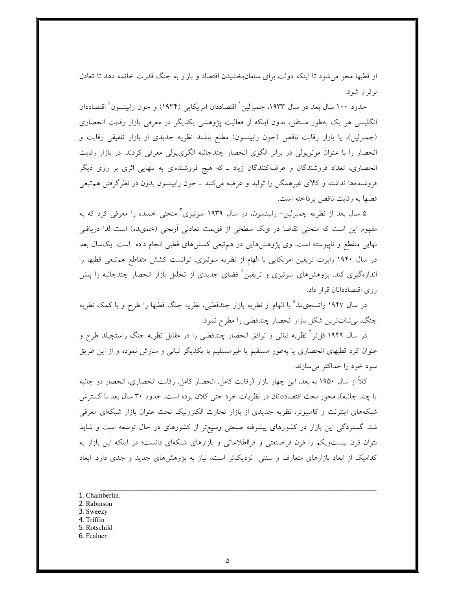از قطبها محو می شود تا اینکه دولت برای سامانبخشیدن اقتصاد و بازار به جنگ قدرت خاتمه دهد تا تعادل بر قرار شود.

حدود ۱۰۰ سال بعد در سال ۱۹۳۳، چمبرلین ٰ اقتصاددان امریکایی (۱۹۳۴) و جون رابینسون ٔ اقتصاددان انگلیسی هر یک بهطور مستقل، بدون اینکه از فعالیت پژوهشی یکدیگر در معرفی بازار رقابت انحصاری (چمبرلین)، یا بازار رقابت ناقص (جون رابینسون) مطلع باشند نظریه جدیدی از بازار تلفیقی رقابت و انحصار را با عنوان مونوپولی در برابر الگوی انحصار چندجانبه الگویپولی معرفی کردند. در بازار رقابت انحصاری، تعداد فروشندگان و عرضهکنندگان زیاد ـ که هیچ فروشندهای به تنهایی اثری بر روی دیگر فروشندهها نداشته و کالای غیرهمگن را تولید و عرضه میکنند ــ جون رابینسون بدون در نظرگرفتن هم تبعی قطبها به رقابت ناقص پرداخته است.

۵ سال بعد از نظریه چمبرلین– رابینسون، در سال ۱۹۳۹ سوئیزی ٔ منحنی خمیده را معرفی کرد که به مفهوم این است که منحنی تقاضا در یک سطحی از قیمت تعادلی اَرنجی (خمیده) است لذا دریافتی نهایی منقطع و ناپیوسته است. وی پژوهشهایی در هم تبعی کششهای قطبی انجام داده است. یکسال بعد در سال ۱۹۴۰ رابرت تریفین امریکایی با الهام از نظریه سوئیزی، توانست کشش متقاطع هم تبعی قطبها را اندازهگیری کند. یژوهشهای سوئیزی و تریفین<sup>؛</sup> فضای جدیدی از تحلیل بازار انحصار چندجانبه را پیش روی اقتصاددانان قرار داد.

در سال ۱۹۴۷ راتسچیلد<sup>ه</sup> با الهام از نظریه بازار چندقطبی، نظریه جنگ قطبها را طرح و با کمک نظریه جنگ، بی ثباتترین شکل بازار انحصار چندقطبی را مطرح نمود.

در سال ۱۹۴۹ فل نر` نظریه تبانی و توافق انحصار چندقطبی را در مقابل نظریه جنگ راستچیلد طرح و عنوان کرد قطبهای انحصاری یا بهطور مستقیم یا غیرمستقیم با یکدیگر تبانی و سازش نموده و از این طریق سود خود را حداکثر می سازند.

کلاً از سال ۱۹۵۰ به بعد، این چهار بازار (رقابت کامل، انحصار کامل، رقابت انحصاری، انحصار دو جانبه یا چند جانبه)، محور بحث اقتصاددانان در نظریات خرد حتی کلان بوده است. حدود ۳۰ سال بعد با گسترش شبکههای اینترنت و کامپیوتر، نظریه جدیدی از بازار تجارت الکترونیک تحت عنوان بازار شبکهای معرفی شد. گستردگی این بازار در کشورهای پیشرفته صنعتی وسیع تر از کشورهای در حال توسعه است و شاید بتوان قرن بیست ویکم را قرن فراصنعتی و فرااطلاعاتی و بازارهای شبکهای دانست؛ در اینکه این بازار به کدامیک از ابعاد بازارهای متعارف و سنتی نزدیکتر است، نیاز به پژوهشهای جدید و جدی دارد. ابعاد

- 1. Chamberlin.
- 2. Rabinson
- 3. Sweezy
- 4. Triffin
- 5. Rotschild
- 6. Fealner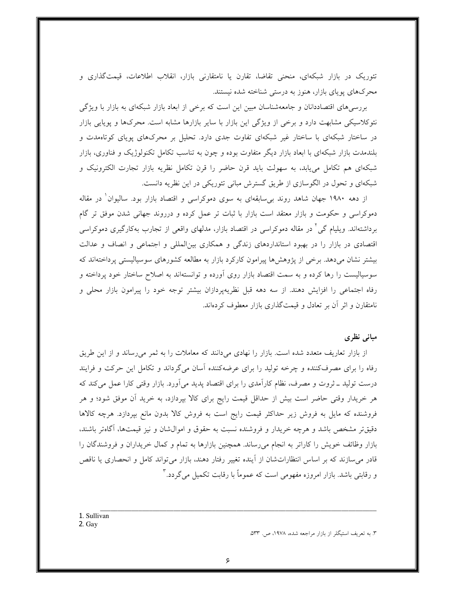تئوریک در بازار شبکهای، منحنی تقاضا، تقارن یا نامتقارنی بازار، انقلاب اطلاعات، قیمتگذاری و محرکهای پویای بازار، هنوز به درستی شناخته شده نیستند.

بررسی های اقتصاددانان و جامعهشناسان مبین این است که برخی از ابعاد بازار شبکهای به بازار با ویژگی نئوکلاسیکی مشابهت دارد و برخی از ویژگی این بازار با سایر بازارها مشابه است. محرکها و پویایی بازار در ساختار شبکهای با ساختار غیر شبکهای تفاوت جدی دارد. تحلیل بر محرکهای پویای کوتاهمدت و بلندمدت بازار شبکهای با ابعاد بازار دیگر متفاوت بوده و چون به تناسب تکامل تکنولوژیک و فناوری، بازار شبکهای هم تکامل می یابد، به سهولت باید قرن حاضر را قرن تکامل نظریه بازار تجارت الکترونیک و شبکهای و تحول در الگوسازی از طریق گسترش مبانی تئوریکی در این نظریه دانست.

از دهه ۱۹۸۰ جهان شاهد روند بی سابقهای به سوی دموکراسی و اقتصاد بازار بود. سالیوان ٰ در مقاله دموکراسی و حکومت و بازار معتقد است بازار با ثبات تر عمل کرده و درروند جهانی شدن موفق تر گام برداشتهاند. ویلیام گی ٰ در مقاله دموکراسی در اقتصاد بازار، مدلهای واقعی از تجارب بهکارگیری دموکراسی اقتصادی در بازار را در بهبود استانداردهای زندگی و همکاری بینالمللی و اجتماعی و انصاف و عدالت بیشتر نشان می دهد. برخی از یژوهش ها پیرامون کارکرد بازار به مطالعه کشورهای سوسیالیستی پرداختهاند که سوسیالیست را رها کرده و به سمت اقتصاد بازار روی آورده و توانستهاند به اصلاح ساختار خود پرداخته و رفاه اجتماعی را افزایش دهند. از سه دهه قبل نظریهپردازان بیشتر توجه خود را پیرامون بازار محلی و نامتقارن و اثر آن بر تعادل و قیمتگذاری بازار معطوف کردهاند.

### مبانی نظری

از بازار تعاریف متعدد شده است. بازار را نهادی می دانند که معاملات را به ثمر می رساند و از این طریق رفاه را برای مصرفکننده و چرخه تولید را برای عرضهکننده أسان میگرداند و تکامل این حرکت و فرایند درست تولید ــ ثروت و مصرف، نظام کارآمدی را برای اقتصاد پدید میآورد. بازار وقتی کارا عمل میکند که هر خریدار وقتی حاضر است بیش از حداقل قیمت رایج برای کالا بپردازد، به خرید اَن موفق شود؛ و هر فروشنده که مایل به فروش زیر حداکثر قیمت رایج است به فروش کالا بدون مانع بیردازد. هرچه کالاها دقیقتر مشخص باشد و هرچه خریدار و فروشنده نسبت به حقوق و اموال $\dot{ }$ ان و نیز قیمتها، أگاهتر باشند، بازار وظائف خویش را کاراتر به انجام می رساند. همچنین بازارها به تمام و کمال خریداران و فروشندگان را قادر می سازند که بر اساس انتظاراتشان از آینده تغییر رفتار دهند، بازار میتواند کامل و انحصاری یا ناقص و رقابتی باشد. بازار امروزه مفهومی است که عموماً با رقابت تکمیل می گردد. ۳

1. Sullivan 2. Gay

۳. به تعریف استیگلر از بازار مراجعه شده، ۱۹۷۸، ص. ۵۳۳.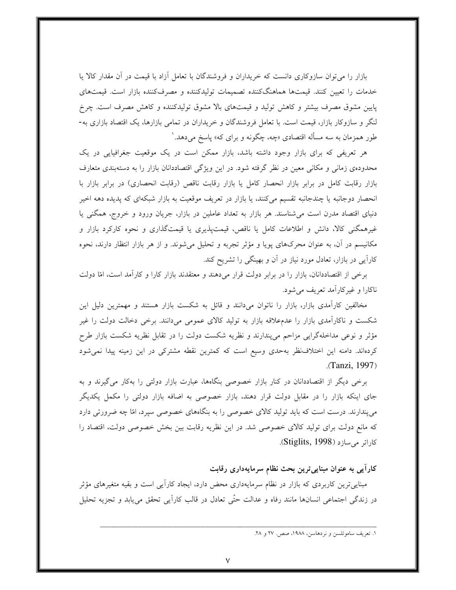بازار را میتوان سازوکاری دانست که خریداران و فروشندگان با تعامل أزاد با قیمت در أن مقدار کالا یا خدمات را تعیین کنند. قیمتها هماهنگکننده تصمیمات تولیدکننده و مصرفکننده بازار است. قیمتهای پایین مشوق مصرف بیشتر و کاهش تولید و قیمتهای بالا مشوق تولیدکننده و کاهش مصرف است. چرخ لنگر و سازوکار بازار، قیمت است. با تعامل فروشندگان و خریداران در تمامی بازارها، یک اقتصاد بازاری به-طور همزمان به سه مسأله اقتصادي «چه، چگونه و براي كه» پاسخ مىدهد. ٰ

هر تعریفی که برای بازار وجود داشته باشد، بازار ممکن است در یک موقعیت جغرافیایی در یک محدودهی زمانی و مکانی معین در نظر گرفته شود. در این ویژگی اقتصاددانان بازار را به دستهبندی متعارف بازار رقابت کامل در برابر بازار انحصار کامل یا بازار رقابت ناقص (رقابت انحصاری) در برابر بازار با انحصار دوجانبه یا چندجانبه تقسیم میکنند، یا بازار در تعریف موقعیت به بازار شبکهای که پدیده دهه اخیر دنیای اقتصاد مدرن است میشناسند. هر بازار به تعداد عاملین در بازار، جریان ورود و خروج، همگنی یا غیرهمگنی کالا، دانش و اطلاعات کامل یا ناقص، قیمتپذیری یا قیمتگذاری و نحوه کارکرد بازار و مکانیسم در آن، به عنوان محرکهای پویا و مؤثر تجربه و تحلیل میشوند. و از هر بازار انتظار دارند، نحوه کارایی در بازار، تعادل مورد نیاز در آن و بهینگی را تشریح کند.

برخی از اقتصاددانان، بازار را در برابر دولت قرار میدهند و معتقدند بازار کارا و کارآمد است، امّا دولت ناکارا و غیرکاراًمد تعریف می شود.

مخالفین کارآمدی بازار، بازار را ناتوان میدانند و قائل به شکست بازار هستند و مهمترین دلیل این شکست و ناکارآمدی بازار را عدمعلاقه بازار به تولید کالای عمومی میدانند. برخی دخالت دولت را غیر مؤثر و نوعی مداخلهگرایی مزاحم میپندارند و نظریه شکست دولت را در تقابل نظریه شکست بازار طرح کردهاند. دامنه این اختلاف $نظر بهحدی وسیع است که کمترین نقطه مشترکی در این زمینه پیدا نمیشود$  $(Tanzi, 1997)$ 

برخی دیگر از اقتصاددانان در کنار بازار خصوصی بنگاهها، عبارت بازار دولتی را بهکار میگیرند و به جای اینکه بازار را در مقابل دولت قرار دهند، بازار خصوصی به اضافه بازار دولتی را مکمل یکدیگر میپندارند. درست است که باید تولید کالای خصوصی را به بنگاههای خصوصی سپرد، امّا چه ضرورتی دارد که مانع دولت برای تولید کالای خصوصی شد. در این نظریه رقابت بین بخش خصوصی دولت، اقتصاد را کاراتر می سازد (Stiglits, 1998).

کارایی به عنوان مبناییترین بحث نظام سرمایهداری رقابت

مبناییترین کاربردی که بازار در نظام سرمایهداری محض دارد، ایجاد کاراًیی است و بقیه متغیرهای مؤثر در زندگی اجتماعی انسانها مانند رفاه و عدالت حتّٰی تعادل در قالب کاراَیی تحقق می،یابد و تجزیه تحلیل

١. تعريف ساموئلسن و نردهاسن، ١٩٨٨، صص. ٢٧ و ٢٨.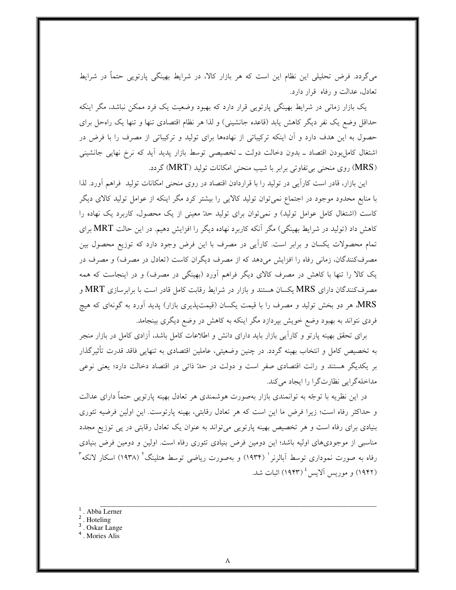میگردد. فرض تحلیلی این نظام این است که هر بازار کالا، در شرایط بهینگی پارتویی حتماً در شرایط تعادل، عدالت و رفاه قرار دارد.

یک بازار زمانی در شرایط بهینگی پارتویی قرار دارد که بهبود وضعیت یک فرد ممکن نباشد، مگر اینکه حداقل وضع یک نفر دیگر کاهش یابد (قاعده جانشینی) و لذا هر نظام اقتصادی تنها و تنها یک راهحل برای حصول به این هدف دارد و آن اینکه ترکیباتی از نهادهها برای تولید و ترکیباتی از مصرف را با فرض در اشتغال کامل بودن اقتصاد ــ بدون دخالت دولت ــ تخصیصی توسط بازار پدید آید که نرخ نهایی جانشینی (MRS) روی منحنی بی تفاوتی برابر با شیب منحنی امکانات تولید (MRT) گردد.

این بازار، قادر است کاراً یی در تولید را با قراردادن اقتصاد در روی منحنی امکانات تولید ً فراهم اَورد. لذا با منابع محدود موجود در اجتماع نمی توان تولید کالایی را بیشتر کرد مگر اینکه از عوامل تولید کالای دیگر کاست (اشتغال کامل عوامل تولید) و نمیتوان برای تولید حدّ معینی از یک محصول، کاربرد یک نهاده را کاهش داد (تولید در شرایط بهینگی) مگر آنکه کاربرد نهاده دیگر را افزایش دهیم. در این حالت MRT برای تمام محصولات یکسان و برابر است. کاراًیی در مصرف با این فرض وجود دارد که توزیع محصول بین مصرف کنندگان، زمانی رفاه را افزایش میدهد که از مصرف دیگران کاست (تعادل در مصرف) و مصرف در یک کالا را تنها با کاهش در مصرف کالای دیگر فراهم آورد (بهینگی در مصرف) و در اینجاست که همه مصرفکنندگان دارای MRS یکسان هستند و بازار در شرایط رقابت کامل قادر است با برابرسازی MRT و MRS هر دو بخش تولید و مصرف را با قیمت یکسان (قیمتپذیری بازار) پدید آورد به گونهای که هیچ فردی نتواند به بهبود وضع خویش بپردازد مگر اینکه به کاهش در وضع دیگری بینجامد.

برای تحقق بهینه پارتو و کاراًیی بازار باید دارای دانش و اطلاعات کامل باشد، اّزادی کامل در بازار منجر به تخصیص کامل و انتخاب بهینه گردد. در چنین وضعیتی، عاملین اقتصادی به تنهایی فاقد قدرت تأثیرگذار بر یکدیگر هستند و رانت اقتصادی صفر است و دولت در حدّ ذاتی در اقتصاد دخالت دارد؛ یعنی نوعی مداخلهگرايي نظارتگرا را ايجاد مي كند.

در این نظریه با توجّه به توانمندی بازار بهصورت هوشمندی هر تعادل بهینه پارتویی حتماً دارای عدالت و حداکثر رفاه است؛ زیرا فرض ما این است که هر تعادل رقابتی، بهینه پارتوست. این اولین فرضیه تئوری بنیادی برای رفاه است و هر تخصیص بهینه پارتویی می تواند به عنوان یک تعادل رقابتی در یی توزیع مجدد مناسبی از موجودیهای اولیه باشد؛ این دومین فرض بنیادی تئوری رفاه است. اولین و دومین فرض بنیادی رفاه به صورت نموداری توسط آبالرنر ( ۱۹۳۴) و بهصورت ریاضی توسط هتلینگ ( ۱۹۳۸) اسکار لانکه آ (۱۹۴۲) و موریس آلایس <sup>؛</sup> (۱۹۴۳) اثبات شد.

- . Abba Lerner
- $2$ . Hoteling
- $3 \nvert$ . Oskar Lange
- <sup>4</sup>. Mories Alis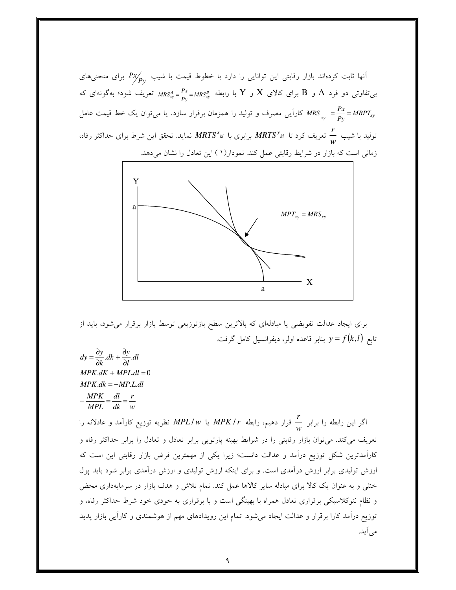آنها ثابت کردهاند بازار رقابتی این توانایی را دارد با خطوط قیمت با شیب  $P\chi_{\not{P}\nu}^{\prime}$  برای منحنیهای بی تفاوتی دو فرد A و B برای کالای  $X$  و  $Y$  با رابطه  $\frac{P X}{P_{\rm w}} = M R S_{xy}^B = \frac{P X}{P_{\rm w}} = M R S_{xy}^B$  تعریف شود؛ بهگونهای که کاراً یی مصرف و تولید را همزمان برقرار سازد. یا می $i$ ون ک خط قیمت عامل MRS  $\sum\limits_{xy}=\frac{Px}{Py}=MRPT_{xy}$ تولید با شیب  $\frac{r}{w}$  تعریف کرد تا  $MRTS^{\frac{v}{\lambda}}$  برابری با  $MRTS^{\frac{v}{\lambda}}$  نماید. تحقق این شرط برای حداکثر رفاه، زمانی است که بازار در شرایط رقابتی عمل کند. نمودار(۱ ) این تعادل را نشان میدهد.



برای ایجاد عدالت تفویضی یا مبادلهای که بالاترین سطح بازتوزیعی توسط بازار برقرار می شود، باید از تابع  $y = f(k, l)$  بنابر قاعده اولر، دیفرانسیل کامل گرفت.

$$
dy = \frac{\partial y}{\partial k} . dk + \frac{\partial y}{\partial l} . dl
$$
  
MPK.dK + MPLdl = 0  
MPK.dk = -MP.L.dl  
-\frac MPK}{MPL} = \frac{dl}{dk} = \frac{r}{w}

اگر این رابطه را برابر  $\frac{r}{\mu}$  قرار دهیم، رابطه MPK / r یا MPL/w نظریه توزیع کارآمد و عادلانه را تعریف میکند. میتوان بازار رقابتی را در شرایط بهینه پارتویی برابر تعادل و تعادل را برابر حداکثر رفاه و کارآمدترین شکل توزیع درآمد و عدالت دانست؛ زیرا یکی از مهمترین فرض بازار رقابتی این است که ارزش تولیدی برابر ارزش درآمدی است. و برای اینکه ارزش تولیدی و ارزش درآمدی برابر شود باید پول خنثی و به عنوان یک کالا برای مبادله سایر کالاها عمل کند. تمام تلاش و هدف بازار در سرمایهداری محض و نظام نئوکلاسیکی برقراری تعادل همراه با بهینگی است و با برقراری به خودی خود شرط حداکثر رفاه، و توزیع درآمد کارا برقرار و عدالت ایجاد میشود. تمام این رویدادهای مهم از هوشمندی و کارآیی بازار پدید می اً ید.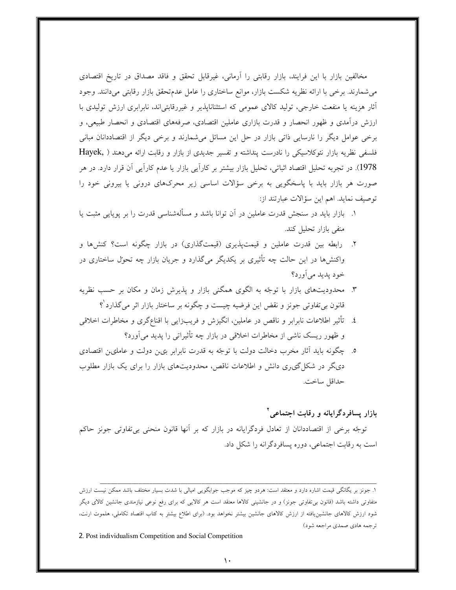مخالفین بازار با این فرایند، بازار رقابتی را آرمانی، غیرقابل تحقق و فاقد مصداق در تاریخ اقتصادی میشمارند. برخی با ارائه نظریه شکست بازار، موانع ساختاری را عامل عدمتحقق بازار رقابتی میدانند. وجود أثار هزینه یا منفعت خارجی، تولید کالای عمومی که استثناناپذیر و غیررقابتی|ند، نابرابری ارزش تولیدی با ارزش درآمدی و ظهور انحصار و قدرت بازاری عاملین اقتصادی، صرفههای اقتصادی و انحصار طبیعی، و برخی عوامل دیگر را نارسایی ذاتی بازار در حل این مسائل میشمارند و برخی دیگر از اقتصاددانان مبانی فلسفی نظریه بازار نئوکلاسیکی را نادرست پنداشته و تفسیر جدیدی از بازار و رقابت ارائه میدهند ( Hayek, 1978). در تجربه تحلیل اقتصاد اثباتی، تحلیل بازار بیشتر بر کاراًیی بازار یا عدم کاراًیی اّن قرار دارد. در هر صورت هر بازار باید با پاسخگویی به برخی سؤالات اساسی زیر محرکهای درونی یا بیرونی خود را توصيف نمايد. اهم اين سؤالات عبارتند از:

- ۱. بازار باید در سنجش قدرت عاملین در آن توانا باشد و مسألهشناسی قدرت را بر یوپایی مثبت یا منفی بازار تحلیل کند.
- ۲. رابطه بین قدرت عاملین و قیمتپذیری (قیمتگذاری) در بازار چگونه است؟ کنشها و واکنشها در این حالت چه تأثیری بر یکدیگر میگذارد و جریان بازار چه تحول ساختاری در خود پديد مي آورد؟
- ۳. محدودیتهای بازار با توجّه به الگوی همگنی بازار و پذیرش زمان و مکان بر حسب نظریه قانون بیتفاوتی جونز و نقض این فرضیه چیست و چگونه بر ساختار بازار اثر میگذارد<sup>۹</sup>؟
- ٤. تأثير اطلاعات نابرابر و ناقص در عاملين، انگيزش و فريبزايي با اقناع\$ري و مخاطرات اخلاقي و ظهور ریسک ناشی از مخاطرات اخلاقی در بازار چه تأثیراتی را پدید می آورد؟
- ٥. چگونه باید آثار مخرب دخالت دولت با توجّه به قدرت نابرابر بی: دولت و عاملی: اقتصادی دیگر در شکل گی ری دانش و اطلاعات ناقص، محدودیتهای بازار را برای یک بازار مطلوب حداقل ساخت.

## بازار پسافردگرایانه و رقابت اجتماعی آ

توجّه برخی از اقتصاددانان از تعادل فردگرایانه در بازار که بر آنها قانون منحنی بیتفاوتی جونز حاکم است به رقابت اجتماعی، دوره پسافردگرانه را شکل داد.

2. Post individualism Competition and Social Competition

۱. جونز بر یگانگی قیمت اشاره دارد و معتقد است: هردو چیز که موجب جوابگویی امیالی با شدت بسیار مختلف باشد ممکن نیست ارزش متفاوتی داشته باشد (قانون بی تفاوتی جونز) و در جانشینی کالاها معتقد است هر کالایی که برای رفع نوعی نیازمندی جانشین کالای دیگر شود ارزش کالاهای جانشین،یافته از ارزش کالاهای جانشین بیشتر نخواهد بود. (برای اطلاع بیشتر به کتاب اقتصاد تکاملی، هلموت ارنت، ترجمه هادي صمدي مراجعه شود)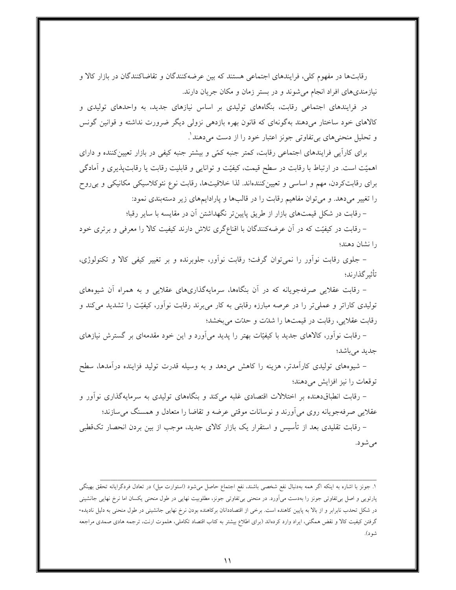رقابتها در مفهوم کلی، فرایندهای اجتماعی هستند که بین عرضهکنندگان و تقاضاکنندگان در بازار کالا و نیازمندیهای افراد انجام میشوند و در بستر زمان و مکان جریان دارند.

در فرایندهای اجتماعی رقابت، بنگاههای تولیدی بر اساس نیازهای جدید، به واحدهای تولیدی و کالاهای خود ساختار میدهند بهگونهای که قانون بهره بازدهی نزولی دیگر ضرورت نداشته و قوانین گونس و تحلیل منحنیهای بیتفاوتی جونز اعتبار خود را از دست میٖدهند ٰ.

برای کارآیی فرایندهای اجتماعی رقابت، کمتر جنبه کمّی و بیشتر جنبه کیفی در بازار تعیینکننده و دارای اهمیّت است. در ارتباط با رقابت در سطح قیمت، کیفیّت و توانایی و قابلیت رقابت یا رقابتپذیری و آمادگی برای رقابتکردن، مهم و اساسی و تعیینکنندهاند. لذا خلاقیتها، رقابت نوع نئوکلاسیکی مکانیکی و بی روح را تغییر میدهد. و می توان مفاهیم رقابت را در قالبها و پارادایمهای زیر دستهبندی نمود:

– رقابت در شکل قیمتهای بازار از طریق پایین تر نگهداشتن آن در مقایسه با سایر رقبا؛

– رقابت در کیفیّت که در آن عرضهکنندگان با اقناعگری تلاش دارند کیفیت کالا را معرفی و برتری خود را نشان دهند؛

– جلوی رقابت نوآور را نمیتوان گرفت؛ رقابت نوآور، جلوبرنده و بر تغییر کیفی کالا و تکنولوژی، تأثير گذار ند؛

– رقابت عقلایی صرفهجویانه که در اَن بنگاهها، سرمایهگذاریهای عقلایی و به همراه اَن شیوههای تولیدی کاراتر و عملیتر را در عرصه مبارزه رقابتی به کار میبرند رقابت نوآور، کیفیّت را تشدید میکند و رقابت عقلایی، رقابت در قیمتها را شدّت و حدّت می بخشد؛

– رقابت نوأور، کالاهای جدید با کیفیّات بهتر را پدید می|ورد و این خود مقدمهای بر گسترش نیازهای جديد مي باشد؛

– شیوههای تولیدی کارآمدتر، هزینه را کاهش میدهد و به وسیله قدرت تولید فزاینده درآمدها، سطح توقعات را نیز افزایش می دهند؛

– رقابت انطباقدهنده بر اختلالات اقتصادی غلبه میکند و بنگاههای تولیدی به سرمایهگذاری نوآور و عقلایی صرفهجویانه روی می[ورند و نوسانات موقتی عرضه و تقاضا را متعادل و همسنگ میسازند؛

– رقابت تقلیدی بعد از تأسیس و استقرار یک بازار کالای جدید، موجب از بین بردن انحصار تکقطبی می شو د.

۱. جونز با اشاره به اینکه اگر همه بهدنبال نفع شخصی باشند، نفع اجتماع حاصل میشود (استوارت میل) در تعادل فردگرایانه تحقق بهینگی پارتویی و اصل بی تفاوتی جونز را بهدست می[ورد. در منحنی بی2فاوتی جونز، مطلوبیت نهایی در طول منحنی یکسان اما نرخ نهایی جانشینی در شکل تحدب نابرابر و از بالا به پایین کاهنده است. برخی از اقتصاددانان برکاهنده بودن نرخ نهایی جانشینی در طول منحنی به دلیل نادیده-گرفتن کیفیت کالا و نقض همگنی، ایراد وارد کردهاند (برای اطلاع بیشتر به کتاب اقتصاد تکاملی، هلموت ارنت، ترجمه هادی صمدی مراجعه شو د).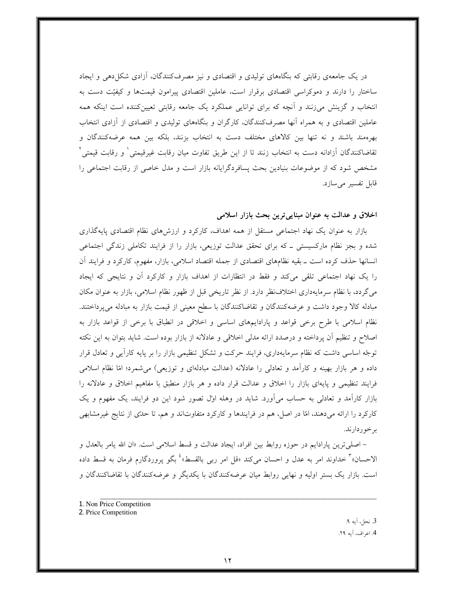در یک جامعهی رقابتی که بنگاههای تولیدی و اقتصادی و نیز مصرفکنندگان، أزادی شکل(دهی و ایجاد ساختار را دارند و دموکراسی اقتصادی برقرار است، عاملین اقتصادی پیرامون قیمتها و کیفیّت دست به انتخاب و گزینش می(نند و آنچه که برای توانایی عملکرد یک جامعه رقابتی تعیینکننده است اینکه همه عاملین اقتصادی و به همراه آنها مصرفکنندگان، کارگران و بنگاههای تولیدی و اقتصادی از آزادی انتخاب بهرهمند باشند و نه تنها بين كالاهاى مختلف دست به انتخاب بزنند، بلكه بين همه عرضهكنندگان و تقاضاکنندگان آزادانه دست به انتخاب زنند تا از این طریق تفاوت میان رقابت غیرقیمتی ٰ و رقابت قیمتی ْ مشخص شود که از موضوعات بنیادین بحث پسافردگرایانه بازار است و مدل خاصی از رقابت اجتماعی را قابل تفسیر می سازد.

### اخلاق و عدالت به عنوان مبنایی ترین بحث بازار اسلامی

بازار به عنوان یک نهاد اجتماعی مستقل از همه اهداف، کارکرد و ارزشهای نظام اقتصادی پایهگذاری شده و بجز نظام مارکسیستی ــ که برای تحقق عدالت توزیعی، بازار را از فرایند تکاملی زندگی اجتماعی انسانها حذف کرده است ــ بقیه نظامهای اقتصادی از جمله اقتصاد اسلامی، بازار، مفهوم، کارکرد و فرایند آن را یک نهاد اجتماعی تلقی میکند و فقط در انتظارات از اهداف بازار و کارکرد أن و نتایجی که ایجاد میگردد، با نظام سرمایهداری اختلاف نظر دارد. از نظر تاریخی قبل از ظهور نظام اسلامی، بازار به عنوان مکان مبادله کالا وجود داشت و عرضهکنندگان و تقاضاکنندگان با سطح معینی از قیمت بازار به مبادله می پرداختند. نظام اسلامی با طرح برخی قواعد و پارادایمهای اساسی و اخلاقی در انطباق با برخی از قواعد بازار به اصلاح و تنظیم اَن پرداخته و درصدد ارائه مدلی اخلاقی و عادلانه از بازار بوده است. شاید بتوان به این نکته توجّه اساسی داشت که نظام سرمایهداری، فرایند حرکت و تشکل تنظیمی بازار را بر پایه کارآیی و تعادل قرار داده و هر بازار بهینه و کارأمد و تعادلبی را عادلانه (عدالت مبادلهای و توزیعی) میشمرد؛ امّا نظام اسلامی فرایند تنظیمی و پایهای بازار را اخلاق و عدالت قرار داده و هر بازار منطبق با مفاهیم اخلاق و عادلانه را بازار کارآمد و تعادلی به حساب می آورد. شاید در وهله اوّل تصور شود این دو فرایند، یک مفهوم و یک کارکرد را ارائه میدهند، امّا در اصل، هم در فرایندها و کارکرد متفاوتاند و هم، تا حدّی از نتایج غیرمشابهی برخوردارند.

– اصلَّىترين پارادايم در حوزه روابط بين افراد، ايجاد عدالت و قسط اسلامي است. «ان الله يامر بالعدل و الاحسان» تخداوند امر به عدل و احسان مي كند «قل امر ربي بالقسط» ٔ بگو پروردگارم فرمان به قسط داده است. بازار یک بستر اولیه و نهایی روابط میان عرضهکنندگان با یکدیگر و عرضهکنندگان با تقاضاکنندگان و

- 1. Non Price Competition
- 2. Price Competition

3. نحل، آيه ۹. 4. اعراف، آيه ٢٩.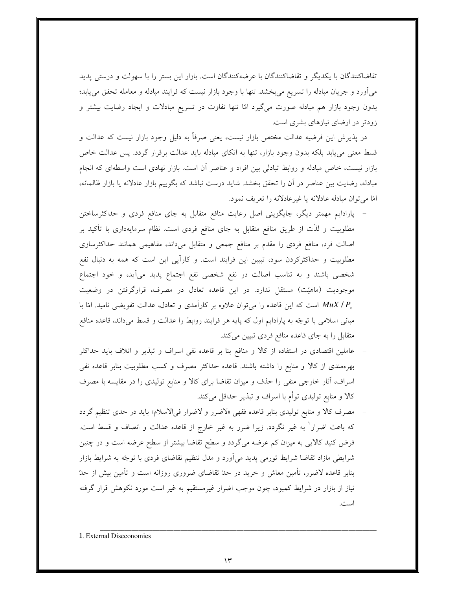تقاضاکنندگان با یکدیگر و تقاضاکنندگان با عرضهکنندگان است. بازار این بستر را با سهولت و درستی پدید میآورد و جریان مبادله را تسریع میبخشد. تنها با وجود بازار نیست که فرایند مبادله و معامله تحقق می یابد؛ بدون وجود بازار هم مبادله صورت میگیرد امّا تنها تفاوت در تسریع مبادلات و ایجاد رضایت بیشتر و زودتر در ارضای نیازهای بشری است.

در پذیرش این فرضیه عدالت مختص بازار نیست، یعنی صرفاً به دلیل وجود بازار نیست که عدالت و قسط معنی می یابد بلکه بدون وجود بازار، تنها به اتکای مبادله باید عدالت برقرار گردد. پس عدالت خاص بازار نیست، خاص مبادله و روابط تبادلی بین افراد و عناصر آن است. بازار نهادی است واسطهای که انجام مبادله، رضایت بین عناصر در آن را تحقق بخشد. شاید درست نباشد که بگوییم بازار عادلانه یا بازار ظالمانه، امًا مي توان مبادله عادلانه يا غير عادلانه را تعريف نمود.

- پارادایم مهمتر دیگر، جایگزینی اصل رعایت منافع متقابل به جای منافع فردی و حداکثرساختن مطلوبیت و لذّت از طریق منافع متقابل به جای منافع فردی است. نظام سرمایهداری با تأکید بر اصالت فرد، منافع فردی را مقدم بر منافع جمعی و متقابل میداند، مفاهیمی همانند حداکثرسازی مطلوبیت و حداکثرکردن سود، تبیین این فرایند است. و کاراًیی این است که همه به دنبال نفع شخصی باشند و به تناسب اصالت در نفع شخصی نفع اجتماع پدید میآید، و خود اجتماع موجودیت (ماهیّت) مستقل ندارد. در این قاعده تعادل در مصرف، قرارگرفتن در وضعیت است که این قاعده را میتوان علاوه بر کارآمدی و تعادل، عدالت تفویضی نامید. امّا با  $MuX$  /  $P_{_X}$ مبانی اسلامی با توجّه به پارادایم اول که پایه هر فرایند روابط را عدالت و قسط میداند، قاعده منافع متقابل را به جای قاعده منافع فردی تبیین میکند.
- عاملین اقتصادی در استفاده از کالا و منافع بنا بر قاعده نفی اسراف و تبذیر و اتلاف باید حداکثر بهرهمندی از کالا و منابع را داشته باشند. قاعده حداکثر مصرف و کسب مطلوبیت بنابر قاعده نفی اسراف، أثار خارجي منفي را حذف و ميزان تقاضا براي كالا و منابع توليدي را در مقايسه با مصرف كالا و منابع توليدي توأم با اسراف و تبذير حداقل ميكند.
- مصرف کالا و منابع تولیدی بنابر قاعده فقهی «لاضرر و لاضرار فیالاسلام» باید در حدی تنظیم گردد که باعث اضرار ٰ به غیر نگردد. زیرا ضرر به غیر خارج از قاعده عدالت و انصاف و قسط است. فرض کنید کالایی به میزان کم عرضه میگردد و سطح تقاضا بیشتر از سطح عرضه است و در چنین شرایطی مازاد تقاضا شرایط تورمی پدید میآورد و مدل تنظیم تقاضای فردی با توجّه به شرایط بازار بنابر قاعده لاضرر، تأمین معاش و خرید در حدّ تقاضای ضروری روزانه است و تأمین بیش از حدّ نیاز از بازار در شرایط کمبود، چون موجب اضرار غیرمستقیم به غیر است مورد نکوهش قرار گرفته است.

1. External Diseconomies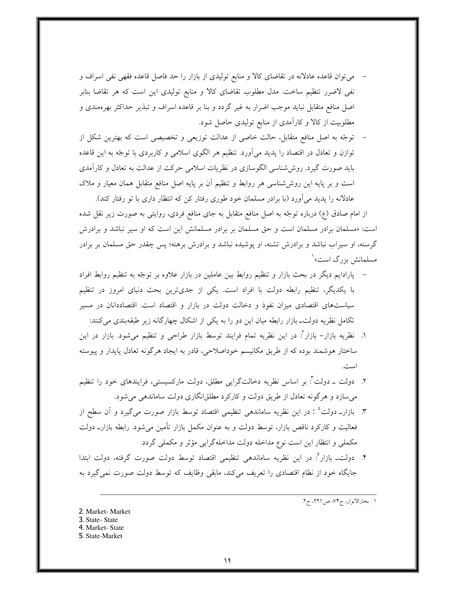می توان قاعده عادلانه در تقاضای کالا و منابع تولیدی از بازار را حد فاصل قاعده فقهی نفی اسراف و نفی لاضرر تنظیم ساخت. مدل مطلوب تقاضای کالا و منابع تولیدی این است که هر تقاضا بنابر اصل منافع متقابل نباید موجب اضرار به غیر گردد و بنا بر قاعده اسراف و تبذیر حداکثر بهرهمندی و مطلوبیت از کالا و کارآمدی از منابع تولیدی حاصل شود.

– توجّه به اصل منافع متقابل، حالت خاصی از عدالت توزیعی و تخصیصی است که بهترین شکل از توازن و تعادل در اقتصاد را پدید میآورد. تنظیم هر الگوی اسلامی و کاربردی با توجّه به این قاعده باید صورت گیرد. روششناسی الگوسازی در نظریات اسلامی حرکت از عدالت به تعادل و کارآمدی است و بر پایه این روششناسی هر روابط و تنظیم آن بر پایه اصل منافع متقابل همان معیار و ملاک عادلانه را پدید میآورد (با برادر مسلمان خود طوری رفتار کن که انتظار داری با تو رفتار کند).

از امام صادق (ع) درباره توجّه به اصل منافع متقابل به جای منافع فردی، روایتی به صورت زیر نقل شده است: «مسلمان برادر مسلمان است و حق مسلمان بر برادر مسلمانش این است که او سیر نباشد و برادرش گرسنه، او سیراب نباشد و برادرش تشنه، او پوشیده نباشد و برادرش برهنه؛ پس چقدر حق مسلمان بر برادر مسلمانش بزرگ است»<sup>۱</sup>

- پارادایم دیگر در بحث بازار و تنظیم روابط بین عاملین در بازار علاوه بر توجّه به تنظیم روابط افراد با یکدیگر، تنظیم رابطه دولت با افراد است. یکی از جدیترین بحث دنیای امروز در تنظیم سیاستهای اقتصادی میزان نفوذ و دخالت دولت در بازار و اقتصاد است. اقتصاددانان در مسیر تکامل نظریه دولت۔ بازار رابطه میان این دو را به یکی از اشکال چهارگانه زیر طبقهبندی می کنند:
- ۱. نظریه بازار– بازار<sup>۲</sup>: در این نظریه تمام فرایند توسط بازار طراحی و تنظیم میشود. بازار در این ساختار هوشمند بوده که از طریق مکانیسم خوداصلاحی، قادر به ایجاد هرگونه تعادل پایدار و پیوسته است.
- ۲. دولت ــ دولت ؓ: بر اساس نظریه دخالتگرایی مطلق، دولت مارکسیستی، فرایندهای خود را تنظیم می سازد و هرگونه تعادل از طریق دولت و کارکرد مطلقانگاری دولت ساماندهی می شود.
- ۳. بازارــ دولت ٔ : در این نظریه ساماندهی تنظیمی اقتصاد توسط بازار صورت میگیرد و آن سطح از فعالیت و کارکرد ناقص بازار، توسط دولت و به عنوان مکمل بازار تأمین میشود. رابطه بازارــ دولت مکملی و انتظار این است نوع مداخله دولت مداخلهگرایی مؤثر و مکملی گردد.
- ۴. دولت۔ بازار ؓ: در این نظریه ساماندهی تنظیمی اقتصاد توسط دولت صورت گرفته، دولت ابتدا جایگاه خود از نظام اقتصادی را تعریف می کند، مابقی وظایف که توسط دولت صورت نمی گیرد به

١. بحارالانوار، ح٧۴، ص٢٢١، ح٢.

2. Market-Market 3. State-State 4. Market-State 5. State-Market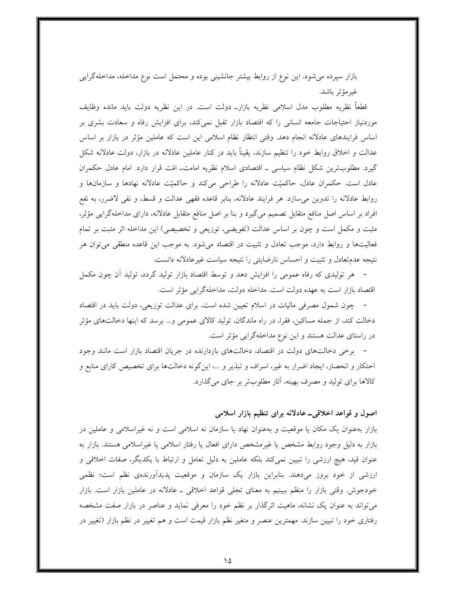بازار سپرده میشود. این نوع از روابط بیشتر جانشینی بوده و محتمل است نوع مداخله، مداخلهگرایی غير مؤثر باشد.

قطعاً نظریه مطلوب مدل اسلامی نظریه بازارــ دولت است. در این نظریه دولت باید مانده وظایف موردنیاز احتیاجات جامعه انسانی را که اقتصاد بازار تقبل نمیکند، برای افزایش رفاه و سعادت بشری بر اساس فرایندهای عادلانه انجام دهد. وقتی انتظار نظام اسلامی این است که عاملین مؤثر در بازار بر اساس عدالت و اخلاق روابط خود را تنظیم سازند، یقیناً باید در کنار عاملین عادلانه در بازار، دولت عادلانه شکل گیرد. مطلوبترین شکل نظام سیاسی ــ اقتصادی اسلام نظریه امامتــ امّت قرار دارد. امام عادل حکمران عادل است. حکمران عادل، حاکمیّت عادلانه را طراحی میکند و حاکمیّت عادلانه نهادها و سازمانها و روابط عادلانه را تدوين مىسازد. هر فرايند عادلانه، بنابر قاعده فقهى عدالت و قسط، و نفى لاضرر، به نفع افراد بر اساس اصل منافع متقابل تصمیم میگیرد و بنا بر اصل منافع متقابل عادلانه، دارای مداخلهگرایی مؤثر، مثبت و مکمل است و چون بر اساس عدالت (تفویضی، توزیعی و تخصیصی) این مداخله اثر مثبت بر تمام فعالیتها و روابط دارد، موجب تعادل و تثبیت در اقتصاد میشود. به موجب این قاعده منطقی می توان هر نتیجه عدمتعادل و تثبیت و احساس نارضایتی را نتیجه سیاست غیرعادلانه دانست.

هر تولیدی که رفاه عمومی را افزایش دهد و توسط اقتصاد بازار تولید گردد، تولید آن چون مکمل اقتصاد بازار است به عهده دولت است. مداخله دولت، مداخلهگرایی مؤثر است.

- چون شمول مصرفی مالیات در اسلام تعیین شده است، برای عدالت توزیعی، دولت باید در اقتصاد دخالت کند، از جمله مساکین، فقرا، در راه ماندگان، تولید کالای عمومی و… برسد که اینها دخالتهای مؤثر در راستای عدالت هستند و این نوع مداخلهگرایی مؤثر است.

- برخی دخالتهای دولت در اقتصاد، دخالتهای بازدارنده در جریان اقتصاد بازار است مانند وجود احتکار و انحصار، ایجاد اضرار به غیر، اسراف و تبذیر و ...، اینگونه دخالتها برای تخصیص کارای منابع و كالاها براي توليد و مصرف بهينه، آثار مطلوبتر بر جاي مي گذارد.

## اصول و قواعد اخلاقی\_ عادلانه برای تنظیم بازار اسلامی

بازار بهعنوان یک مکان یا موقعیت و بهعنوان نهاد یا سازمان نه اسلامی است و نه غیراسلامی و عاملین در بازار به دلیل وجود روابط مشخص یا غیرمشخص دارای افعال یا رفتار اسلامی یا غیراسلامی هستند. بازار به عنوان قید، هیچ ارزشی را تبیین نمی کند بلکه عاملین به دلیل تعامل و ارتباط با یکدیگر، صفات اخلاقی و ارزشی از خود بروز میدهند. بنابراین بازار یک سازمان و موقعیت پدیدآورندهی نظم است؛ نظمی خودجوش. وقتی بازار را منظم ببینیم به معنای تجلی قواعد اخلاقی ــ عادلانه در عاملین بازار است. بازار میتواند به عنوان یک نشانه، ماهیت اثرگذار بر نظم خود را معرفی نماید و عناصر در بازار صفت مشخصه رفتاری خود را تبیین سازند. مهمترین عنصر و متغیر نظم بازار قیمت است و هم تغییر در نظم بازار (تغییر در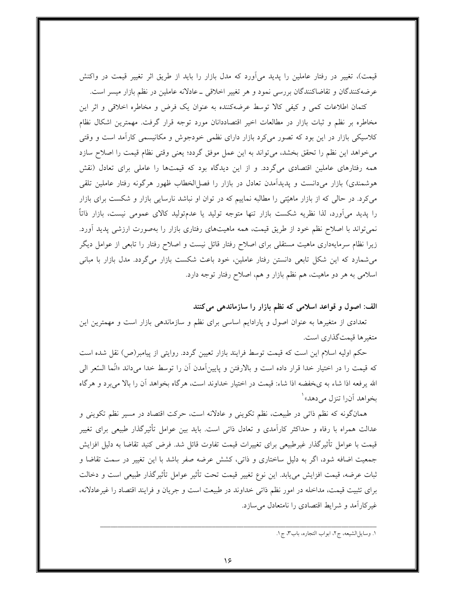قیمت)، تغییر در رفتار عاملین را پدید می[ورد که مدل بازار را باید از طریق اثر تغییر قیمت در واکنش عرضه کنندگان و تقاضاکنندگان بررسی نمود و هر تغییر اخلاقی ــ عادلانه عاملین در نظم بازار میسر است.

کتمان اطلاعات کمی و کیفی کالا توسط عرضهکننده به عنوان یک فرض و مخاطره اخلاقی و اثر این مخاطره بر نظم و ثبات بازار در مطالعات اخیر اقتصاددانان مورد توجه قرار گرفت. مهمترین اشکال نظام کلاسیکی بازار در این بود که تصور میکرد بازار دارای نظمی خودجوش و مکانیسمی کارآمد است و وقتی می خواهد این نظم را تحقق بخشد، می تواند به این عمل موفق گردد؛ یعنی وقتی نظام قیمت را اصلاح سازد همه رفتارهای عاملین اقتصادی میگردد. و از این دیدگاه بود که قیمتها را عاملی برای تعادل (نقش هوشمندی) بازار میدانست و پدیدآمدن تعادل در بازار را فصل|لخطاب ظهور هرگونه رفتار عاملین تلقی میکرد. در حالی که از بازار ماهیّتی را مطالبه نماییم که در توان او نباشد نارسایی بازار و شکست برای بازار را پدید می[ورد، لذا نظریه شکست بازار تنها متوجه تولید یا عدمتولید کالای عمومی نیست، بازار ذاتاً نمیتواند با اصلاح نظم خود از طریق قیمت، همه ماهیتهای رفتاری بازار را بهصورت ارزشی پدید آورد. زیرا نظام سرمایهداری ماهیت مستقلی برای اصلاح رفتار قائل نیست و اصلاح رفتار را تابعی از عوامل دیگر میشمارد که این شکل تابعی دانستن رفتار عاملین، خود باعث شکست بازار میگردد. مدل بازار با مبانی اسلامی به هر دو ماهیت، هم نظم بازار و هم، اصلاح رفتار توجه دارد.

الف: اصول و قواعد اسلامی که نظم بازار را سازماندهی می کنند

تعدادی از متغیرها به عنوان اصول و پارادایم اساسی برای نظم و سازماندهی بازار است و مهمترین این متغيرها قيمت گذاري است.

حکم اولیه اسلام این است که قیمت توسط فرایند بازار تعیین گردد. روایتی از پیامبر(ص) نقل شده است كه قيمت را در اختيار خدا قرار داده است و بالارفتن و پايينآمدن آن را توسط خدا ميداند «انّما السّعر الي الله يرفعه اذا شاء به ي خفضه اذا شاء: قيمت در اختيار خداوند است، هرگاه بخواهد أن را بالا مي برد و هرگاه بخواهد آن را تنزل مي دهد» ا

همانگونه که نظم ذاتی در طبیعت، نظم تکوینی و عادلانه است، حرکت اقتصاد در مسیر نظم تکوینی و عدالت همراه با رفاه و حداکثر کارآمدی و تعادل ذاتی است. باید بین عوامل تأثیرگذار طبیعی برای تغییر قیمت با عوامل تأثیرگذار غیرطبیعی برای تغییرات قیمت تفاوت قائل شد. فرض کنید تقاضا به دلیل افزایش جمعیت اضافه شود، اگر به دلیل ساختاری و ذاتی، کشش عرضه صفر باشد با این تغییر در سمت تقاضا و ثبات عرضه، قیمت افزایش میLبابد. این نوع تغییر قیمت تحت تأثیر عوامل تأثیرگذار طبیعی است و دخالت برای تثبیت قیمت، مداخله در امور نظم ذاتی خداوند در طبیعت است و جریان و فرایند اقتصاد را غیرعادلانه، غیر کارآمد و شرایط اقتصادی را نامتعادل می سازد.

١. وسايلالشيعه، ج٢، ابواب التجاره، باب٣، ج١.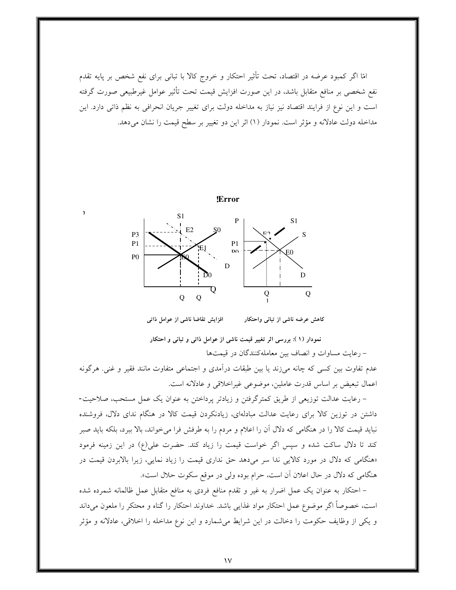امّا اگر کمبود عرضه در اقتصاد، تحت تأثیر احتکار و خروج کالا با تبانی برای نفع شخص بر پایه تقدم نفع شخصی بر منافع متقابل باشد، در این صورت افزایش قیمت تحت تأثیر عوامل غیرطبیعی صورت گرفته است و این نوع از فرایند اقتصاد نیز نیاز به مداخله دولت برای تغییر جریان انحرافی به نظم ذاتی دارد. این مداخله دولت عادلانه و مؤثر است. نمودار (١) اثر این دو تغییر بر سطح قیمت را نشان میدهد.



افزایش تقاضا ناشی از عوامل ذاتی کاهش عرضه ناشی از تبانی واحتکار

نمودار (١): بررسی اثر تغییر قیمت ناشی از عوامل ذاتی و تبانی و احتکار

– رعايت مساوات و انصاف بين معاملهكنندگان در قيمتها

عدم تفاوت بین کسی که چانه میزند یا بین طبقات درآمدی و اجتماعی متفاوت مانند فقیر و غنی. هرگونه اعمال تبعيض بر اساس قدرت عاملين، موضوعي غيراخلاقي و عادلانه است.

– رعايت عدالت توزيعي از طريق كمترگرفتن و زيادتر پرداختن به عنوان يک عمل مستحب، صلاحيت-داشتن در توزین کالا برای رعایت عدالت مبادلهای، زیادنکردن قیمت کالا در هنگام ندای دلال، فروشنده نباید قیمت کالا را در هنگامی که دلال آن را اعلام و مردم را به طرفش فرا میخواند، بالا ببرد، بلکه باید صبر کند تا دلال ساکت شده و سپس اگر خواست قیمت را زیاد کند. حضرت علی(ع) در این زمینه فرمود «هنگامی که دلال در مورد کالایی ندا سر میدهد حق نداری قیمت را زیاد نمایی، زیرا بالابردن قیمت در هنگامی که دلال در حال اعلان آن است، حرام بوده ولی در موقع سکوت حلال است».

– احتکار به عنوان یک عمل اضرار به غیر و تقدم منافع فردی به منافع متقابل عمل ظالمانه شمرده شده است، خصوصاً اگر موضوع عمل احتکار مواد غذایی باشد. خداوند احتکار را گناه و محتکر را ملعون میداند و یکی از وظایف حکومت را دخالت در این شرایط می شمارد و این نوع مداخله را اخلاقی، عادلانه و مؤثر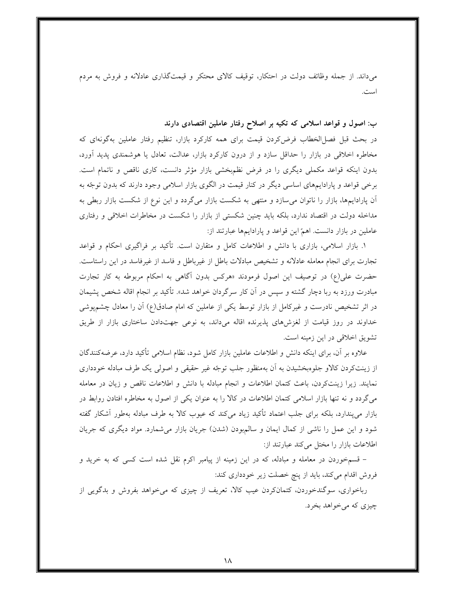میداند. از جمله وظائف دولت در احتکار، توقیف کالای محتکر و قیمتگذاری عادلانه و فروش به مردم است.

ب: اصول و قواعد اسلامی که تکیه بر اصلاح رفتار عاملین اقتصادی دارند

در بحث قبل فصل|لخطاب فرض كردن قيمت براي همه كاركرد بازار، تنظيم رفتار عاملين بهگونهاي كه مخاطره اخلاقی در بازار را حداقل سازد و از درون کارکرد بازار، عدالت، تعادل یا هوشمندی پدید آورد، بدون اینکه قواعد مکملی دیگری را در فرض نظمبخشی بازار مؤثر دانست، کاری ناقص و ناتمام است. برخی قواعد و پارادایمهای اساسی دیگر در کنار قیمت در الگوی بازار اسلامی وجود دارند که بدون توجّه به آن پارادایمها، بازار را ناتوان میسازد و منتهی به شکست بازار میگردد و این نوع از شکست بازار ربطی به مداخله دولت در اقتصاد ندارد، بلکه باید چنین شکستی از بازار را شکست در مخاطرات اخلاقی و رفتاری عاملین در بازار دانست. اهمّ این قواعد و پارادایمها عبارتند از:

۱. بازار اسلامی، بازاری با دانش و اطلاعات کامل و متقارن است. تأکید بر فراگیری احکام و قواعد تجارت برای انجام معامله عادلانه و تشخیص مبادلات باطل از غیرباطل و فاسد از غیرفاسد در این راستاست. حضرت علي(ع) در توصيف اين اصول فرمودند «هركس بدون أگاهي به احكام مربوطه به كار تجارت مبادرت ورزد به ربا دچار گشته و سپس در آن کار سرگردان خواهد شد». تأکید بر انجام اقاله شخص پشیمان در اثر تشخیص نادرست و غیرکامل از بازار توسط یکی از عاملین که امام صادق(ع) آن را معادل چشمپوشی خداوند در روز قیامت از لغزشهای پذیرنده اقاله میداند، به نوعی جهتدادن ساختاری بازار از طریق تشويق اخلاقي در اين زمينه است.

علاوه بر آن، برای اینکه دانش و اطلاعات عاملین بازار کامل شود، نظام اسلامی تأکید دارد، عرضهکنندگان از زینتکردن کالاو جلوهبخشیدن به أن بهمنظور جلب توجّه غیر حقیقی و اصولی یک طرف مبادله خودداری نمایند. زیرا زینتکردن، باعث کتمان اطلاعات و انجام مبادله با دانش و اطلاعات ناقص و زیان در معامله می گردد و نه تنها بازار اسلامی کتمان اطلاعات در کالا را به عنوان یکی از اصول به مخاطره افتادن روابط در بازار می،پندارد، بلکه برای جلب اعتماد تأکید زیاد می،کند که عیوب کالا به طرف مبادله بهطور آشکار گفته شود و این عمل را ناشی از کمال ایمان و سالمبودن (شدن) جریان بازار میشمارد. مواد دیگری که جریان اطلاعات بازار را مختل می کند عبارتند از:

– قسمخوردن در معامله و مبادله، که در این زمینه از پیامبر اکرم نقل شده است کسی که به خرید و فروش اقدام میکند، باید از پنچ خصلت زیر خودداری کند:

رباخواری، سوگندخوردن، کتمانکردن عیب کالا، تعریف از چیزی که میخواهد بفروش و بدگویی از چيزې که مي خواهد بخر د.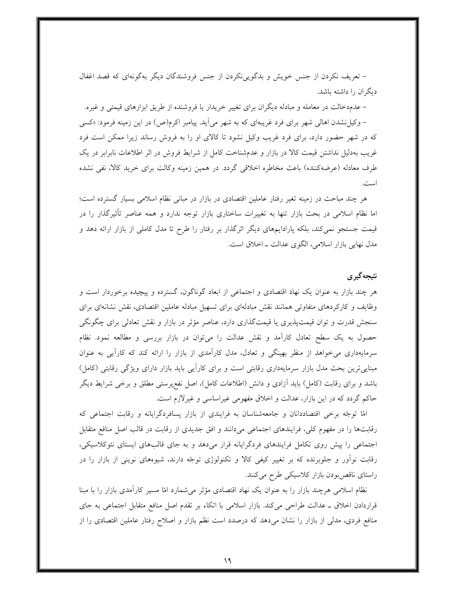– تعریف نکردن از جنس خویش و بدگویینکردن از جنس فروشندگان دیگر بهگونهای که قصد اغفال دیگران را داشته باشد.

– عدمدخالت در معامله و مبادله دیگران برای تغییر خریدار یا فروشنده از طریق ابزارهای قیمتی و غیره. – وکیل نشدن اهالی شهر برای فرد غریبهای که به شهر میآید. پیامبر اکرم(ص) در این زمینه فرمود: «کسی که در شهر حضور دارد، برای فرد غریب وکیل نشود تا کالای او را به فروش رساند زیرا ممکن است فرد غریب بهدلیل نداشتن قیمت کالا در بازار و عدمشناخت کامل از شرایط فروش در اثر اطلاعات نابرابر در یک طرف معادله (عرضهکننده) باعث مخاطره اخلاقی گردد. در همین زمینه وکالت برای خرید کالا، نفی نشده است.

هر چند مباحث در زمینه تغیر رفتار عاملین اقتصادی در بازار در مبانی نظام اسلامی بسیار گسترده است؛ اما نظام اسلامی در بحث بازار تنها به تغییرات ساختاری بازار توجه ندارد و همه عناصر تأثیرگذار را در قیمت جستجو نمی کند، بلکه پارادایمهای دیگر اثرگذار بر رفتار را طرح تا مدل کاملی از بازار ارائه دهد و مدل نهایی بازار اسلامی، الگوی عدالت ـ اخلاق است.

# نتىحەگىرى

هر چند بازار به عنوان یک نهاد اقتصادی و اجتماعی از ابعاد گوناگون، گسترده و پیچیده برخوردار است و وظایف و کارکردهای متفاوتی همانند نقش مبادلهای برای تسهیل مبادله عاملین اقتصادی، نقش نشانهای برای سنجش قدرت و توان قیمتپذیری یا قیمتگذاری دارد، عناصر مؤثر در بازار و نقش تعادلی برای چگونگی حصول به یک سطح تعادل کارآمد و نقش عدالت را میتوان در بازار بررسی و مطالعه نمود. نظام سرمایهداری می خواهد از منظر بهینگی و تعادل، مدل کارآمدی از بازار را ارائه کند که کارآیی به عنوان مبناییترین بحث مدل بازار سرمایهداری رقابتی است و برای کارایی باید بازار دارای ویژگی رقابتی (کامل) باشد و برای رقابت (کامل) باید آزادی و دانش (اطلاعات کامل)، اصل نفع پرستی مطلق و برخی شرایط دیگر حاکم گردد که در این بازار، عدالت و اخلاق مفهومی غیراساسی و غیرلازم است.

امًا توجّه برخی اقتصاددانان و جامعهشناسان به فرایندی از بازار پسافردگرایانه و رقابت اجتماعی که رقابتها را در مفهوم کلی، فرایندهای اجتماعی میدانند و افق جدیدی از رقابت در قالب اصل منافع متقابل اجتماعی را پیش روی تکامل فرایندهای فردگرایانه قرار میدهد و به جای قالبهای ایستای نئوکلاسیکی، رقابت نوآور و جلوبرنده که بر تغییر کیفی کالا و تکنولوژی توجّه دارند، شیوههای نوینی از بازار را در راستای ناقص بودن بازار کلاسیکی طرح میکنند.

نظام اسلامی هرچند بازار را به عنوان یک نهاد اقتصادی مؤثر میشمارد امّا مسیر کارآمدی بازار را با مبنا قراردادن اخلاق ــ عدالت طراحي مي كند. بازار اسلامي با اتكاء بر تقدم اصل منافع متقابل اجتماعي به جاي منافع فردی، مدلی از بازار را نشان میدهد که درصدد است نظم بازار و اصلاح رفتار عاملین اقتصادی را از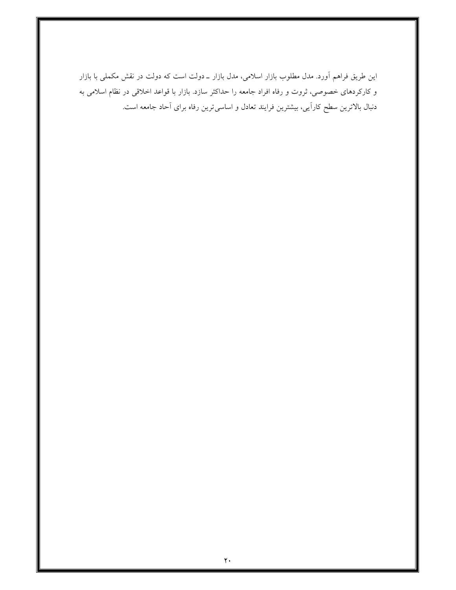این طریق فراهم آورد. مدل مطلوب بازار اسلامی، مدل بازار ـ دولت است که دولت در نقش مکملی با بازار و کارکردهای خصوصی، ثروت و رفاه افراد جامعه را حداکثر سازد. بازار با قواعد اخلاقی در نظام اسلامی به دنبال بالاترین سطح کارآیی، بیشترین فرایند تعادل و اساسی ترین رفاه برای آحاد جامعه است.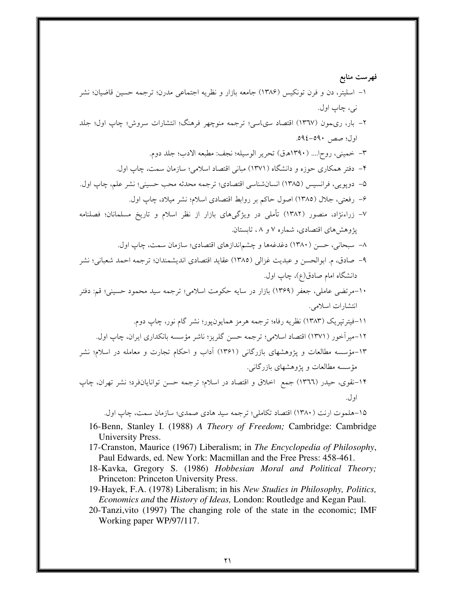۱۵-هلموت ارنت (۱۳۸۰) اقتصاد تکاملي؛ ترجمه سيد هادي صمدي؛ سازمان سمت، چاپ اول.

- 16-Benn, Stanley I. (1988) A Theory of Freedom; Cambridge: Cambridge University Press.
- 17-Cranston, Maurice (1967) Liberalism; in The Encyclopedia of Philosophy, Paul Edwards, ed. New York: Macmillan and the Free Press: 458-461.
- 18-Kavka, Gregory S. (1986) Hobbesian Moral and Political Theory; Princeton: Princeton University Press.
- 19-Hayek, F.A. (1978) Liberalism; in his New Studies in Philosophy, Politics, Economics and the History of Ideas, London: Routledge and Kegan Paul.
- 20-Tanzi, vito (1997) The changing role of the state in the economic; IMF Working paper WP/97/117.